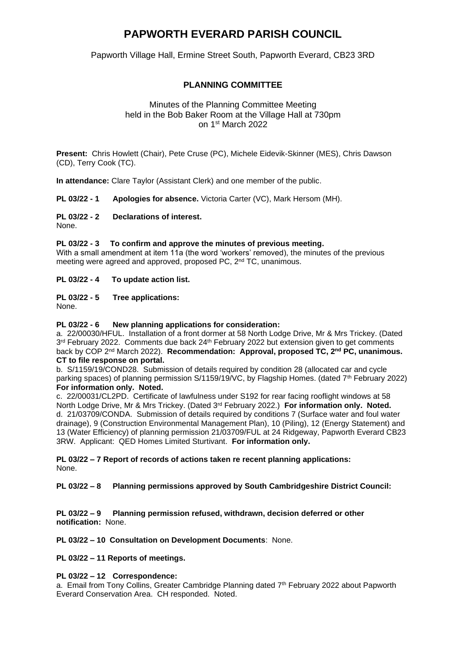# **PAPWORTH EVERARD PARISH COUNCIL**

Papworth Village Hall, Ermine Street South, Papworth Everard, CB23 3RD

## **PLANNING COMMITTEE**

### Minutes of the Planning Committee Meeting held in the Bob Baker Room at the Village Hall at 730pm on 1 st March 2022

**Present:** Chris Howlett (Chair), Pete Cruse (PC), Michele Eidevik-Skinner (MES), Chris Dawson (CD), Terry Cook (TC).

**In attendance:** Clare Taylor (Assistant Clerk) and one member of the public.

**PL 03/22 - 1 Apologies for absence.** Victoria Carter (VC), Mark Hersom (MH).

#### **PL 03/22 - 2 Declarations of interest.**

None.

#### **PL 03/22 - 3 To confirm and approve the minutes of previous meeting.**

With a small amendment at item 11a (the word 'workers' removed), the minutes of the previous meeting were agreed and approved, proposed PC, 2nd TC, unanimous.

#### **PL 03/22 - 4 To update action list.**

#### **PL 03/22 - 5 Tree applications:**

None.

#### **PL 03/22 - 6 New planning applications for consideration:**

a. 22/00030/HFUL. Installation of a front dormer at 58 North Lodge Drive, Mr & Mrs Trickey. (Dated 3<sup>rd</sup> February 2022. Comments due back 24<sup>th</sup> February 2022 but extension given to get comments back by COP 2nd March 2022). **Recommendation: Approval, proposed TC, 2nd PC, unanimous. CT to file response on portal.**

b. S/1159/19/COND28. Submission of details required by condition 28 (allocated car and cycle parking spaces) of planning permission S/1159/19/VC, by Flagship Homes. (dated 7th February 2022) **For information only. Noted.**

c. 22/00031/CL2PD. Certificate of lawfulness under S192 for rear facing rooflight windows at 58 North Lodge Drive, Mr & Mrs Trickey. (Dated 3rd February 2022.) **For information only. Noted.** d.21/03709/CONDA. Submission of details required by conditions 7 (Surface water and foul water drainage), 9 (Construction Environmental Management Plan), 10 (Piling), 12 (Energy Statement) and 13 (Water Efficiency) of planning permission 21/03709/FUL at 24 Ridgeway, Papworth Everard CB23 3RW. Applicant: QED Homes Limited Sturtivant. **For information only.**

**PL 03/22 – 7 Report of records of actions taken re recent planning applications:**  None.

**PL 03/22 – 8 Planning permissions approved by South Cambridgeshire District Council:** 

**PL 03/22 – 9 Planning permission refused, withdrawn, decision deferred or other notification:** None.

**PL 03/22 – 10 Consultation on Development Documents**: None.

**PL 03/22 – 11 Reports of meetings.**

#### **PL 03/22 – 12 Correspondence:**

a. Email from Tony Collins, Greater Cambridge Planning dated  $7<sup>th</sup>$  February 2022 about Papworth Everard Conservation Area. CH responded. Noted.